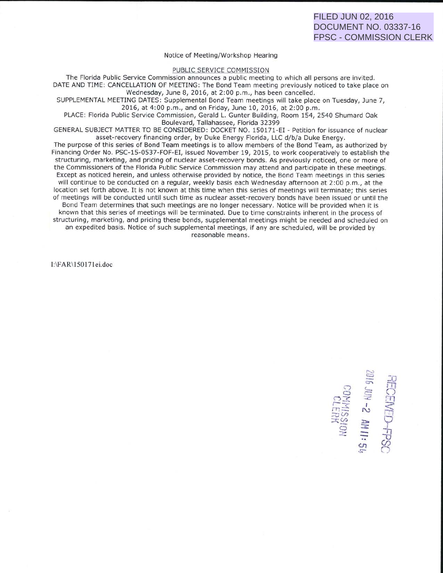## FILED JUN 02, 2016 DOCUMENT NO. 03337-16 FPSC - COMMISSION CLERK

## Notice of Meeting/Workshop Hearing

PUBLIC SERVICE COMMISSION

The Florida Public Service Commission announces a public meeting to which all persons are invited. DATE AND TIME: CANCELLATION OF MEETING: The Bond Team meeting previously noticed to take place on Wednesday, June 8, 2016, at 2:00 p.m., has been cancelled.

SUPPLEMENTAL MEETING DATES: Supplemental Bond Team meetings will take place on Tuesday, June 7, 2016, at 4:00 p.m., and on Friday, June 10, 2016, at 2:00 p.m.

PLACE: Florida Public Service Commission, Gerald L. Gunter Building, Room 154, 2540 Shumard Oak Boulevard, Tallahassee, Florida 32399

GENERAL SUBJECT MATTER TO BE CONSIDERED: DOCKET NO. 150171-EI - Petition for issuance of nuclear asset-recovery financing order, by Duke Energy Florida, LLC d/b/a Duke Energy.

The purpose of this series of Bond Team meetings is to allow members of the Bond Team, as authorized by Financing Order No. PSC-15-0537-FOF-EI, issued November 19, 2015, to work cooperatively to establish the structuring, marketing, and pricing of nuclear asset-recovery bonds. As previously noticed, one or more of the Commissioners of the Florida Public Service Commission may attend and participate in these meetings. Except as noticed herein, and unless otherwise provided by notice, the Bond Team meetings in this series will continue to be conducted on a regular, weekly basis each Wednesday afternoon at 2:00 p.m., at the location set forth above. It is not known at this time when this series of meetings will terminate; this series of meetings will be conducted until such time as nuclear asset-recovery bonds have been issued or until the Bond Team determines that such meetings are no longer necessary. Notice will be provided when it is known that this series of meetings will be terminated. Due to time constraints inherent in the process of structuring, marketing, and pricing these bonds, supplemental meetings might be needed and scheduled on an expedited basis. Notice of such supplemental meetings, if any are scheduled, will be provided by reasonable means.

1:\F AR\ 150 171 ei.doc

1'..:; 03<br>00 Mi<br>OBH  $\vec{z} \cdot \vec{z}$  ,  $\vec{z}$  $\bigoplus_{n=1}^{\infty}$   $\bigoplus_{n=1}^{\infty}$ +PSC<br>#11:54<br>+PSC